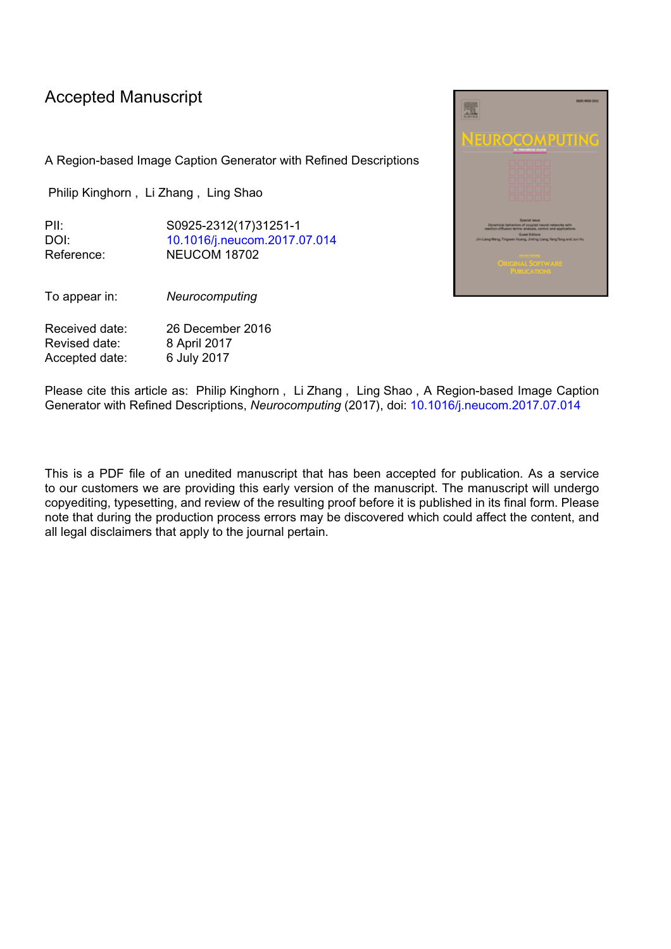## Accepted Manuscript

A Region-based Image Caption Generator with Refined Descriptions

Philip Kinghorn , Li Zhang , Ling Shao

PII: S0925-2312(17)31251-1 DOI: [10.1016/j.neucom.2017.07.014](http://dx.doi.org/10.1016/j.neucom.2017.07.014) Reference: NEUCOM 18702

To appear in: *Neurocomputing*

Received date: 26 December 2016 Revised date: 8 April 2017 Accepted date: 6 July 2017



Please cite this article as: Philip Kinghorn , Li Zhang , Ling Shao , A Region-based Image Caption Generator with Refined Descriptions, *Neurocomputing* (2017), doi: [10.1016/j.neucom.2017.07.014](http://dx.doi.org/10.1016/j.neucom.2017.07.014)

This is a PDF file of an unedited manuscript that has been accepted for publication. As a service to our customers we are providing this early version of the manuscript. The manuscript will undergo copyediting, typesetting, and review of the resulting proof before it is published in its final form. Please note that during the production process errors may be discovered which could affect the content, and all legal disclaimers that apply to the journal pertain.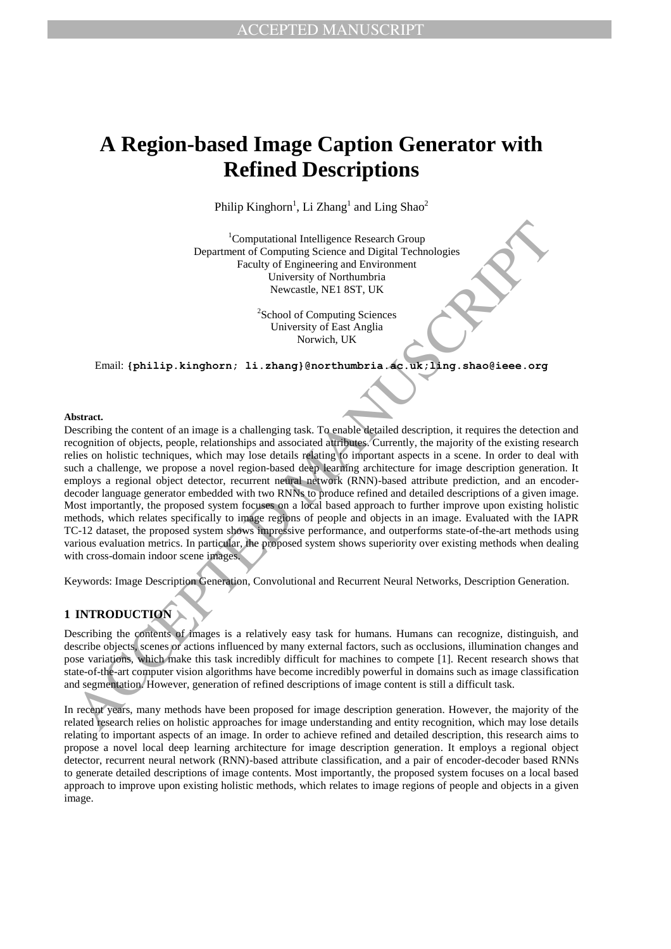# **A Region-based Image Caption Generator with Refined Descriptions**

Philip Kinghorn<sup>1</sup>, Li Zhang<sup>1</sup> and Ling Shao<sup>2</sup>

<sup>1</sup>Computational Intelligence Research Group Department of Computing Science and Digital Technologies Faculty of Engineering and Environment University of Northumbria Newcastle, NE1 8ST, UK

> <sup>2</sup>School of Computing Sciences University of East Anglia Norwich, UK

Email: **{philip.kinghorn; li.zhang}@northumbria.ac.uk;ling.shao@ieee.org**

#### **Abstract.**

Computational Intelligence Research Group<br>
Department of Computing Sciences and Digital Technologies<br>
Faculty of Engineering and Enviroment<br>
University of Northambria,<br>
Newcastle, NET 8ST, UK<br>
Newcastle, NET 8ST, UK<br>
Newca Describing the content of an image is a challenging task. To enable detailed description, it requires the detection and recognition of objects, people, relationships and associated attributes. Currently, the majority of the existing research relies on holistic techniques, which may lose details relating to important aspects in a scene. In order to deal with such a challenge, we propose a novel region-based deep learning architecture for image description generation. It employs a regional object detector, recurrent neural network (RNN)-based attribute prediction, and an encoderdecoder language generator embedded with two RNNs to produce refined and detailed descriptions of a given image. Most importantly, the proposed system focuses on a local based approach to further improve upon existing holistic methods, which relates specifically to image regions of people and objects in an image. Evaluated with the IAPR TC-12 dataset, the proposed system shows impressive performance, and outperforms state-of-the-art methods using various evaluation metrics. In particular, the proposed system shows superiority over existing methods when dealing with cross-domain indoor scene images.

Keywords: Image Description Generation, Convolutional and Recurrent Neural Networks, Description Generation.

## **1 INTRODUCTION**

Describing the contents of images is a relatively easy task for humans. Humans can recognize, distinguish, and describe objects, scenes or actions influenced by many external factors, such as occlusions, illumination changes and pose variations, which make this task incredibly difficult for machines to compete [1]. Recent research shows that state-of-the-art computer vision algorithms have become incredibly powerful in domains such as image classification and segmentation. However, generation of refined descriptions of image content is still a difficult task.

In recent years, many methods have been proposed for image description generation. However, the majority of the related research relies on holistic approaches for image understanding and entity recognition, which may lose details relating to important aspects of an image. In order to achieve refined and detailed description, this research aims to propose a novel local deep learning architecture for image description generation. It employs a regional object detector, recurrent neural network (RNN)-based attribute classification, and a pair of encoder-decoder based RNNs to generate detailed descriptions of image contents. Most importantly, the proposed system focuses on a local based approach to improve upon existing holistic methods, which relates to image regions of people and objects in a given image.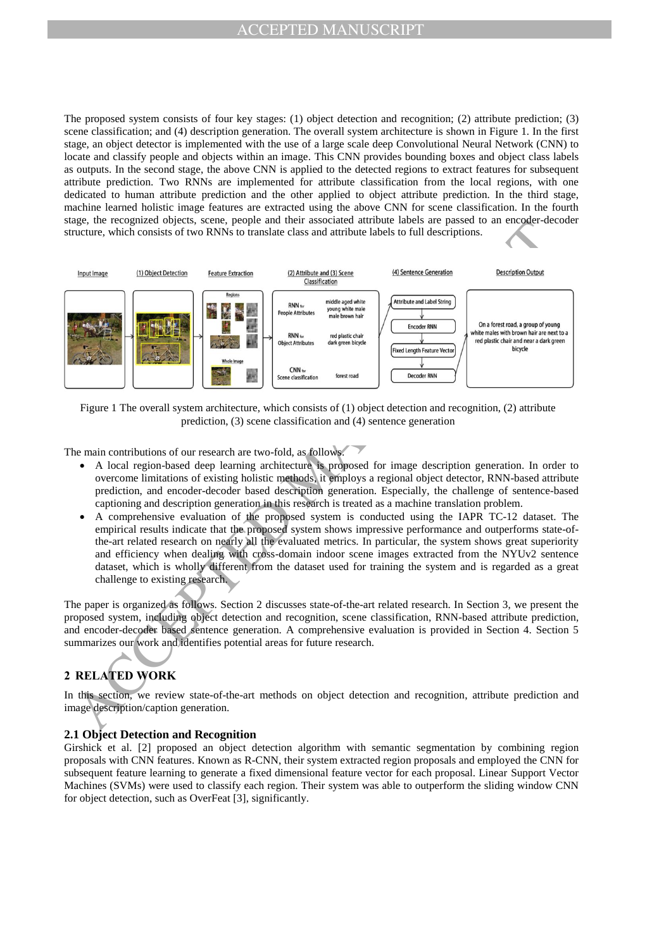The proposed system consists of four key stages: (1) object detection and recognition; (2) attribute prediction; (3) scene classification; and (4) description generation. The overall system architecture is shown in Figure 1. In the first stage, an object detector is implemented with the use of a large scale deep Convolutional Neural Network (CNN) to locate and classify people and objects within an image. This CNN provides bounding boxes and object class labels as outputs. In the second stage, the above CNN is applied to the detected regions to extract features for subsequent attribute prediction. Two RNNs are implemented for attribute classification from the local regions, with one dedicated to human attribute prediction and the other applied to object attribute prediction. In the third stage, machine learned holistic image features are extracted using the above CNN for scene classification. In the fourth stage, the recognized objects, scene, people and their associated attribute labels are passed to an encoder-decoder structure, which consists of two RNNs to translate class and attribute labels to full descriptions.



Figure 1 The overall system architecture, which consists of (1) object detection and recognition, (2) attribute prediction, (3) scene classification and (4) sentence generation

The main contributions of our research are two-fold, as follows.

- A local region-based deep learning architecture is proposed for image description generation. In order to overcome limitations of existing holistic methods, it employs a regional object detector, RNN-based attribute prediction, and encoder-decoder based description generation. Especially, the challenge of sentence-based captioning and description generation in this research is treated as a machine translation problem.
- A comprehensive evaluation of the proposed system is conducted using the IAPR TC-12 dataset. The empirical results indicate that the proposed system shows impressive performance and outperforms state-ofthe-art related research on nearly all the evaluated metrics. In particular, the system shows great superiority and efficiency when dealing with cross-domain indoor scene images extracted from the NYUv2 sentence dataset, which is wholly different from the dataset used for training the system and is regarded as a great challenge to existing research.

The paper is organized as follows. Section 2 discusses state-of-the-art related research. In Section 3, we present the proposed system, including object detection and recognition, scene classification, RNN-based attribute prediction, and encoder-decoder based sentence generation. A comprehensive evaluation is provided in Section 4. Section 5 summarizes our work and identifies potential areas for future research.

## **2 RELATED WORK**

In this section, we review state-of-the-art methods on object detection and recognition, attribute prediction and image description/caption generation.

## **2.1 Object Detection and Recognition**

Girshick et al. [2] proposed an object detection algorithm with semantic segmentation by combining region proposals with CNN features. Known as R-CNN, their system extracted region proposals and employed the CNN for subsequent feature learning to generate a fixed dimensional feature vector for each proposal. Linear Support Vector Machines (SVMs) were used to classify each region. Their system was able to outperform the sliding window CNN for object detection, such as OverFeat [3], significantly.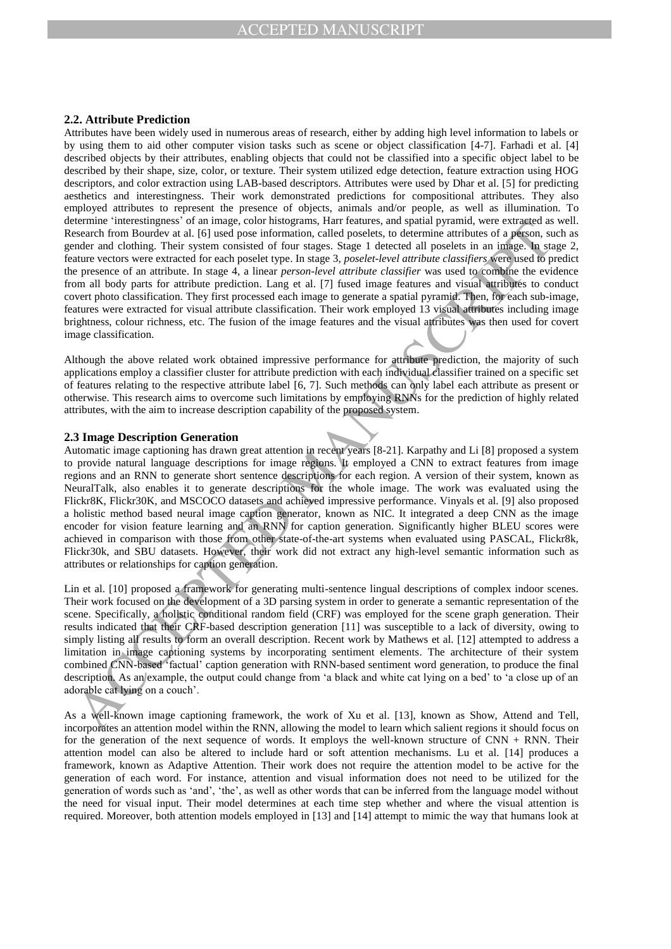#### **2.2. Attribute Prediction**

Attributes have been widely used in numerous areas of research, either by adding high level information to labels or by using them to aid other computer vision tasks such as scene or object classification [4-7]. Farhadi et al. [4] described objects by their attributes, enabling objects that could not be classified into a specific object label to be described by their shape, size, color, or texture. Their system utilized edge detection, feature extraction using HOG descriptors, and color extraction using LAB-based descriptors. Attributes were used by Dhar et al. [5] for predicting aesthetics and interestingness. Their work demonstrated predictions for compositional attributes. They also employed attributes to represent the presence of objects, animals and/or people, as well as illumination. To determine 'interestingness' of an image, color histograms, Harr features, and spatial pyramid, were extracted as well. Research from Bourdev at al. [6] used pose information, called poselets, to determine attributes of a person, such as gender and clothing. Their system consisted of four stages. Stage 1 detected all poselets in an image. In stage 2, feature vectors were extracted for each poselet type. In stage 3, *poselet-level attribute classifiers* were used to predict the presence of an attribute. In stage 4, a linear *person-level attribute classifier* was used to combine the evidence from all body parts for attribute prediction. Lang et al. [7] fused image features and visual attributes to conduct covert photo classification. They first processed each image to generate a spatial pyramid. Then, for each sub-image, features were extracted for visual attribute classification. Their work employed 13 visual attributes including image brightness, colour richness, etc. The fusion of the image features and the visual attributes was then used for covert image classification.

Although the above related work obtained impressive performance for attribute prediction, the majority of such applications employ a classifier cluster for attribute prediction with each individual classifier trained on a specific set of features relating to the respective attribute label [6, 7]. Such methods can only label each attribute as present or otherwise. This research aims to overcome such limitations by employing RNNs for the prediction of highly related attributes, with the aim to increase description capability of the proposed system.

#### **2.3 Image Description Generation**

entern interactions of an image, contraining the real matricians, and sphering permutatives of a please and enthing. Their system and contribute of the ready that the control of the system and the matrix of the system and Automatic image captioning has drawn great attention in recent years [8-21]. Karpathy and Li [8] proposed a system to provide natural language descriptions for image regions. It employed a CNN to extract features from image regions and an RNN to generate short sentence descriptions for each region. A version of their system, known as NeuralTalk, also enables it to generate descriptions for the whole image. The work was evaluated using the Flickr8K, Flickr30K, and MSCOCO datasets and achieved impressive performance. Vinyals et al. [9] also proposed a holistic method based neural image caption generator, known as NIC. It integrated a deep CNN as the image encoder for vision feature learning and an RNN for caption generation. Significantly higher BLEU scores were achieved in comparison with those from other state-of-the-art systems when evaluated using PASCAL, Flickr8k, Flickr30k, and SBU datasets. However, their work did not extract any high-level semantic information such as attributes or relationships for caption generation.

Lin et al. [10] proposed a framework for generating multi-sentence lingual descriptions of complex indoor scenes. Their work focused on the development of a 3D parsing system in order to generate a semantic representation of the scene. Specifically, a holistic conditional random field (CRF) was employed for the scene graph generation. Their results indicated that their CRF-based description generation [11] was susceptible to a lack of diversity, owing to simply listing all results to form an overall description. Recent work by Mathews et al. [12] attempted to address a limitation in image captioning systems by incorporating sentiment elements. The architecture of their system combined CNN-based 'factual' caption generation with RNN-based sentiment word generation, to produce the final description. As an example, the output could change from 'a black and white cat lying on a bed' to 'a close up of an adorable cat lying on a couch'.

As a well-known image captioning framework, the work of Xu et al. [13], known as Show, Attend and Tell, incorporates an attention model within the RNN, allowing the model to learn which salient regions it should focus on for the generation of the next sequence of words. It employs the well-known structure of  $CNN + RNN$ . Their attention model can also be altered to include hard or soft attention mechanisms. Lu et al. [14] produces a framework, known as Adaptive Attention. Their work does not require the attention model to be active for the generation of each word. For instance, attention and visual information does not need to be utilized for the generation of words such as 'and', 'the', as well as other words that can be inferred from the language model without the need for visual input. Their model determines at each time step whether and where the visual attention is required. Moreover, both attention models employed in [13] and [14] attempt to mimic the way that humans look at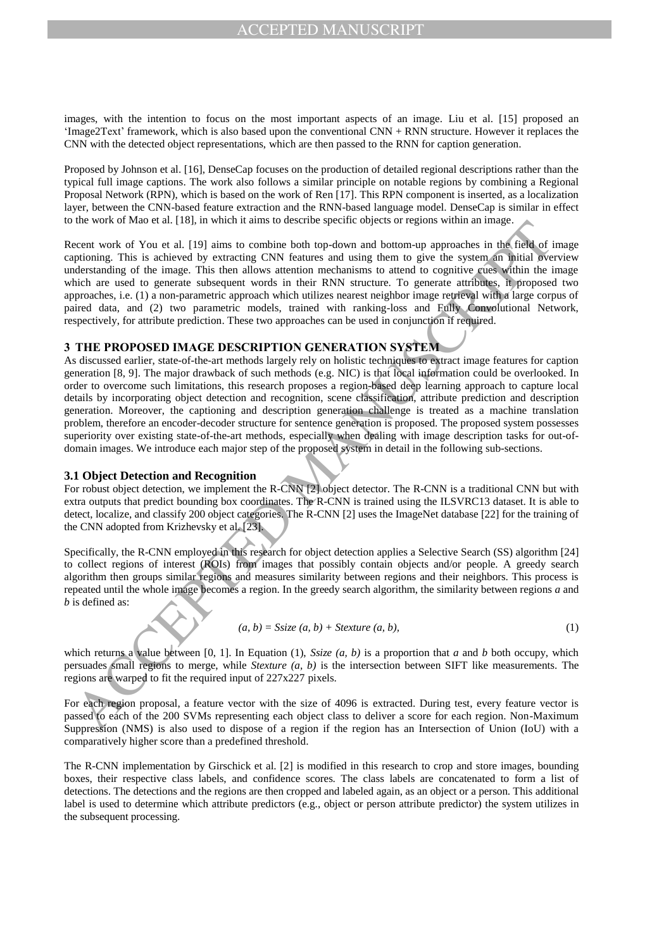images, with the intention to focus on the most important aspects of an image. Liu et al. [15] proposed an 'Image2Text' framework, which is also based upon the conventional CNN + RNN structure. However it replaces the CNN with the detected object representations, which are then passed to the RNN for caption generation.

Proposed by Johnson et al. [16], DenseCap focuses on the production of detailed regional descriptions rather than the typical full image captions. The work also follows a similar principle on notable regions by combining a Regional Proposal Network (RPN), which is based on the work of Ren [17]. This RPN component is inserted, as a localization layer, between the CNN-based feature extraction and the RNN-based language model. DenseCap is similar in effect to the work of Mao et al. [18], in which it aims to describe specific objects or regions within an image.

Recent work of You et al. [19] aims to combine both top-down and bottom-up approaches in the field of image captioning. This is achieved by extracting CNN features and using them to give the system an initial overview understanding of the image. This then allows attention mechanisms to attend to cognitive cues within the image which are used to generate subsequent words in their RNN structure. To generate attributes, it proposed two approaches, i.e. (1) a non-parametric approach which utilizes nearest neighbor image retrieval with a large corpus of paired data, and (2) two parametric models, trained with ranking-loss and Fully Convolutional Network, respectively, for attribute prediction. These two approaches can be used in conjunction if required.

## **3 THE PROPOSED IMAGE DESCRIPTION GENERATION SYSTEM**

the ways to make the such consideration to use the most state of the such as the such as the such as the such as the such as the such as the such as the such as the such as the such as the such as the such as the such as As discussed earlier, state-of-the-art methods largely rely on holistic techniques to extract image features for caption generation [8, 9]. The major drawback of such methods (e.g. NIC) is that local information could be overlooked. In order to overcome such limitations, this research proposes a region-based deep learning approach to capture local details by incorporating object detection and recognition, scene classification, attribute prediction and description generation. Moreover, the captioning and description generation challenge is treated as a machine translation problem, therefore an encoder-decoder structure for sentence generation is proposed. The proposed system possesses superiority over existing state-of-the-art methods, especially when dealing with image description tasks for out-ofdomain images. We introduce each major step of the proposed system in detail in the following sub-sections.

#### **3.1 Object Detection and Recognition**

For robust object detection, we implement the R-CNN [2] object detector. The R-CNN is a traditional CNN but with extra outputs that predict bounding box coordinates. The R-CNN is trained using the ILSVRC13 dataset. It is able to detect, localize, and classify 200 object categories. The R-CNN [2] uses the ImageNet database [22] for the training of the CNN adopted from Krizhevsky et al. [23].

Specifically, the R-CNN employed in this research for object detection applies a Selective Search (SS) algorithm [24] to collect regions of interest (ROIs) from images that possibly contain objects and/or people. A greedy search algorithm then groups similar regions and measures similarity between regions and their neighbors. This process is repeated until the whole image becomes a region. In the greedy search algorithm, the similarity between regions *a* and *b* is defined as:

$$
(a, b) = Ssize (a, b) + Stexture (a, b),
$$
\n
$$
(1)
$$

which returns a value between [0, 1]. In Equation (1), *Ssize (a, b)* is a proportion that *a* and *b* both occupy, which persuades small regions to merge, while *Stexture (a, b)* is the intersection between SIFT like measurements. The regions are warped to fit the required input of 227x227 pixels.

For each region proposal, a feature vector with the size of 4096 is extracted. During test, every feature vector is passed to each of the 200 SVMs representing each object class to deliver a score for each region. Non-Maximum Suppression (NMS) is also used to dispose of a region if the region has an Intersection of Union (IoU) with a comparatively higher score than a predefined threshold.

The R-CNN implementation by Girschick et al. [2] is modified in this research to crop and store images, bounding boxes, their respective class labels, and confidence scores. The class labels are concatenated to form a list of detections. The detections and the regions are then cropped and labeled again, as an object or a person. This additional label is used to determine which attribute predictors (e.g., object or person attribute predictor) the system utilizes in the subsequent processing.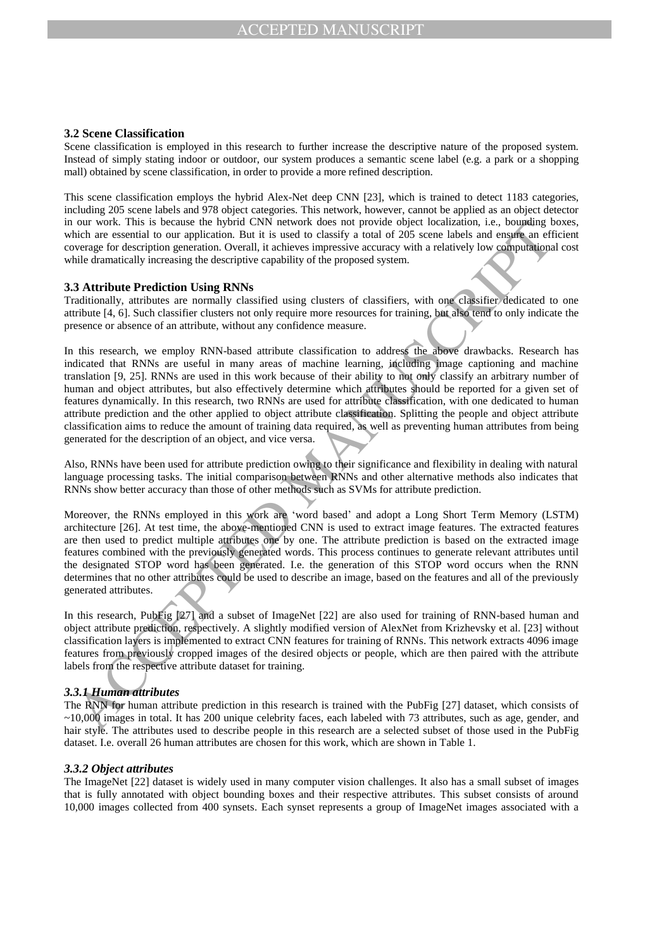#### **3.2 Scene Classification**

Scene classification is employed in this research to further increase the descriptive nature of the proposed system. Instead of simply stating indoor or outdoor, our system produces a semantic scene label (e.g. a park or a shopping mall) obtained by scene classification, in order to provide a more refined description.

This scene classification employs the hybrid Alex-Net deep CNN [23], which is trained to detect 1183 categories, including 205 scene labels and 978 object categories. This network, however, cannot be applied as an object detector in our work. This is because the hybrid CNN network does not provide object localization, i.e., bounding boxes, which are essential to our application. But it is used to classify a total of 205 scene labels and ensure an efficient coverage for description generation. Overall, it achieves impressive accuracy with a relatively low computational cost while dramatically increasing the descriptive capability of the proposed system.

## **3.3 Attribute Prediction Using RNNs**

Traditionally, attributes are normally classified using clusters of classifiers, with one classifier dedicated to one attribute [4, 6]. Such classifier clusters not only require more resources for training, but also tend to only indicate the presence or absence of an attribute, without any confidence measure.

on two. This is because the hydrod CNN network does not provide object localization, i.e., bugging the proposition of the state of exception of the state of exception and the state of exception and the state of exception In this research, we employ RNN-based attribute classification to address the above drawbacks. Research has indicated that RNNs are useful in many areas of machine learning, including image captioning and machine translation [9, 25]. RNNs are used in this work because of their ability to not only classify an arbitrary number of human and object attributes, but also effectively determine which attributes should be reported for a given set of features dynamically. In this research, two RNNs are used for attribute classification, with one dedicated to human attribute prediction and the other applied to object attribute classification. Splitting the people and object attribute classification aims to reduce the amount of training data required, as well as preventing human attributes from being generated for the description of an object, and vice versa.

Also, RNNs have been used for attribute prediction owing to their significance and flexibility in dealing with natural language processing tasks. The initial comparison between RNNs and other alternative methods also indicates that RNNs show better accuracy than those of other methods such as SVMs for attribute prediction.

Moreover, the RNNs employed in this work are 'word based' and adopt a Long Short Term Memory (LSTM) architecture [26]. At test time, the above-mentioned CNN is used to extract image features. The extracted features are then used to predict multiple attributes one by one. The attribute prediction is based on the extracted image features combined with the previously generated words. This process continues to generate relevant attributes until the designated STOP word has been generated. I.e. the generation of this STOP word occurs when the RNN determines that no other attributes could be used to describe an image, based on the features and all of the previously generated attributes.

In this research, PubFig [27] and a subset of ImageNet [22] are also used for training of RNN-based human and object attribute prediction, respectively. A slightly modified version of AlexNet from Krizhevsky et al. [23] without classification layers is implemented to extract CNN features for training of RNNs. This network extracts 4096 image features from previously cropped images of the desired objects or people, which are then paired with the attribute labels from the respective attribute dataset for training.

#### *3.3.1 Human attributes*

The RNN for human attribute prediction in this research is trained with the PubFig [27] dataset, which consists of ~10,000 images in total. It has 200 unique celebrity faces, each labeled with 73 attributes, such as age, gender, and hair style. The attributes used to describe people in this research are a selected subset of those used in the PubFig dataset. I.e. overall 26 human attributes are chosen for this work, which are shown in Table 1.

#### *3.3.2 Object attributes*

The ImageNet [22] dataset is widely used in many computer vision challenges. It also has a small subset of images that is fully annotated with object bounding boxes and their respective attributes. This subset consists of around 10,000 images collected from 400 synsets. Each synset represents a group of ImageNet images associated with a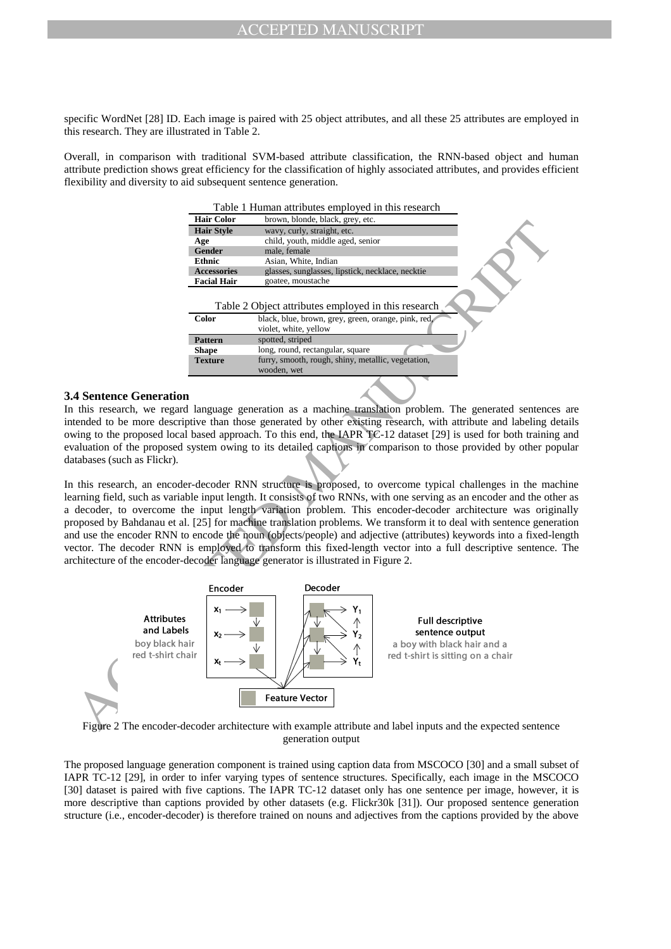specific WordNet [28] ID. Each image is paired with 25 object attributes, and all these 25 attributes are employed in this research. They are illustrated in Table 2.

Overall, in comparison with traditional SVM-based attribute classification, the RNN-based object and human attribute prediction shows great efficiency for the classification of highly associated attributes, and provides efficient flexibility and diversity to aid subsequent sentence generation.

Table 1 Human attributes employed in this research

|                    | I dole I Trainan attributes employed in this research                                                      |
|--------------------|------------------------------------------------------------------------------------------------------------|
| <b>Hair Color</b>  | brown, blonde, black, grey, etc.                                                                           |
| <b>Hair Style</b>  | wavy, curly, straight, etc.                                                                                |
| Age                | child, youth, middle aged, senior                                                                          |
| Gender             | male, female                                                                                               |
| <b>Ethnic</b>      | Asian, White, Indian                                                                                       |
| <b>Accessories</b> | glasses, sunglasses, lipstick, necklace, necktie                                                           |
| <b>Facial Hair</b> | goatee, moustache                                                                                          |
| <b>Color</b>       | Table 2 Object attributes employed in this research<br>black, blue, brown, grey, green, orange, pink, red, |
|                    | violet, white, yellow                                                                                      |
| <b>Pattern</b>     | spotted, striped                                                                                           |
| <b>Shape</b>       | long, round, rectangular, square                                                                           |
| <b>Texture</b>     | furry, smooth, rough, shiny, metallic, vegetation,<br>wooden, wet                                          |
|                    |                                                                                                            |

#### **3.4 Sentence Generation**

In this research, we regard language generation as a machine translation problem. The generated sentences are intended to be more descriptive than those generated by other existing research, with attribute and labeling details owing to the proposed local based approach. To this end, the IAPR TC-12 dataset [29] is used for both training and evaluation of the proposed system owing to its detailed captions in comparison to those provided by other popular databases (such as Flickr).

In this research, an encoder-decoder RNN structure is proposed, to overcome typical challenges in the machine learning field, such as variable input length. It consists of two RNNs, with one serving as an encoder and the other as a decoder, to overcome the input length variation problem. This encoder-decoder architecture was originally proposed by Bahdanau et al. [25] for machine translation problems. We transform it to deal with sentence generation and use the encoder RNN to encode the noun (objects/people) and adjective (attributes) keywords into a fixed-length vector. The decoder RNN is employed to transform this fixed-length vector into a full descriptive sentence. The architecture of the encoder-decoder language generator is illustrated in Figure 2.



Figure 2 The encoder-decoder architecture with example attribute and label inputs and the expected sentence generation output

The proposed language generation component is trained using caption data from MSCOCO [30] and a small subset of IAPR TC-12 [29], in order to infer varying types of sentence structures. Specifically, each image in the MSCOCO [30] dataset is paired with five captions. The IAPR TC-12 dataset only has one sentence per image, however, it is more descriptive than captions provided by other datasets (e.g. Flickr30k [31]). Our proposed sentence generation structure (i.e., encoder-decoder) is therefore trained on nouns and adjectives from the captions provided by the above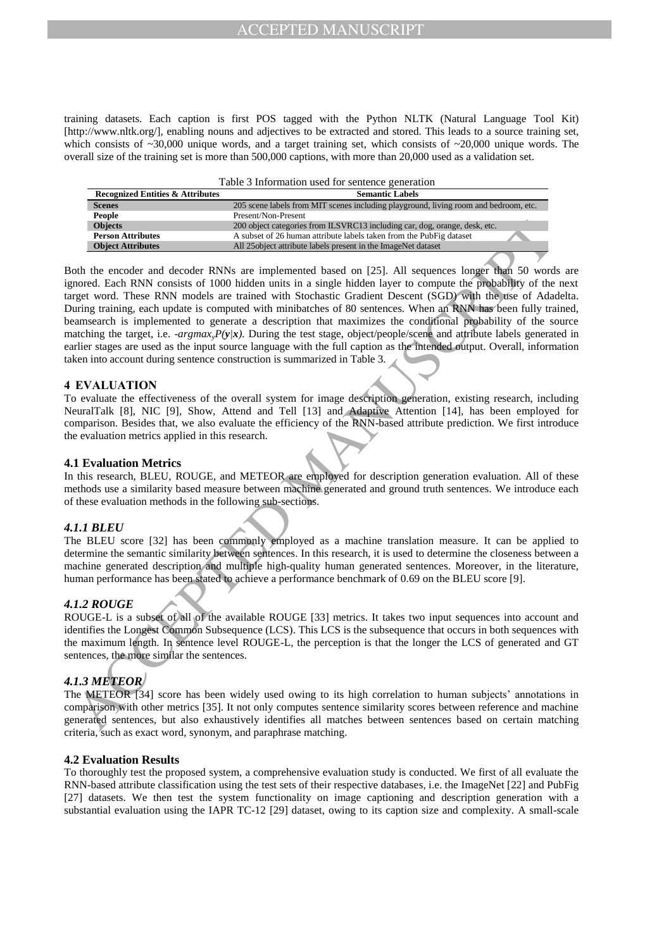training datasets. Each caption is first POS tagged with the Python NLTK (Natural Language Tool Kit) [http://www.nltk.org/], enabling nouns and adjectives to be extracted and stored. This leads to a source training set, which consists of  $\sim$ 30,000 unique words, and a target training set, which consists of  $\sim$ 20,000 unique words. The overall size of the training set is more than 500,000 captions, with more than 20,000 used as a validation set.

| Table 3 Information used for sentence generation |  |
|--------------------------------------------------|--|
|--------------------------------------------------|--|

| <b>Recognized Entities &amp; Attributes</b> | <b>Semantic Labels</b>                                                               |
|---------------------------------------------|--------------------------------------------------------------------------------------|
| <b>Scenes</b>                               | 205 scene labels from MIT scenes including playground, living room and bedroom, etc. |
| People                                      | Present/Non-Present                                                                  |
| <b>Objects</b>                              | 200 object categories from ILSVRC13 including car, dog, orange, desk, etc.           |
| <b>Person Attributes</b>                    | A subset of 26 human attribute labels taken from the PubFig dataset                  |
| <b>Object Attributes</b>                    | All 25 object attribute labels present in the ImageNet dataset                       |

Objects and the mean of the system and the system in the system in the system of the system and the mean of the system and the mean of the system and the mean of the mean of the mean of the system and the mean of the mean Both the encoder and decoder RNNs are implemented based on [25]. All sequences longer than 50 words are ignored. Each RNN consists of 1000 hidden units in a single hidden layer to compute the probability of the next target word. These RNN models are trained with Stochastic Gradient Descent (SGD) with the use of Adadelta. During training, each update is computed with minibatches of 80 sentences. When an RNN has been fully trained, beamsearch is implemented to generate a description that maximizes the conditional probability of the source matching the target, i.e. -*argmaxyP(y|x).* During the test stage, object/people/scene and attribute labels generated in earlier stages are used as the input source language with the full caption as the intended output. Overall, information taken into account during sentence construction is summarized in Table 3.

#### **4 EVALUATION**

To evaluate the effectiveness of the overall system for image description generation, existing research, including NeuralTalk [8], NIC [9], Show, Attend and Tell [13] and Adaptive Attention [14], has been employed for comparison. Besides that, we also evaluate the efficiency of the RNN-based attribute prediction. We first introduce the evaluation metrics applied in this research.

#### **4.1 Evaluation Metrics**

In this research, BLEU, ROUGE, and METEOR are employed for description generation evaluation. All of these methods use a similarity based measure between machine generated and ground truth sentences. We introduce each of these evaluation methods in the following sub-sections.

#### *4.1.1 BLEU*

The BLEU score [32] has been commonly employed as a machine translation measure. It can be applied to determine the semantic similarity between sentences. In this research, it is used to determine the closeness between a machine generated description and multiple high-quality human generated sentences. Moreover, in the literature, human performance has been stated to achieve a performance benchmark of 0.69 on the BLEU score [9].

#### *4.1.2 ROUGE*

ROUGE-L is a subset of all of the available ROUGE [33] metrics. It takes two input sequences into account and identifies the Longest Common Subsequence (LCS). This LCS is the subsequence that occurs in both sequences with the maximum length. In sentence level ROUGE-L, the perception is that the longer the LCS of generated and GT sentences, the more similar the sentences.

#### *4.1.3 METEOR*

The METEOR [34] score has been widely used owing to its high correlation to human subjects' annotations in comparison with other metrics [35]. It not only computes sentence similarity scores between reference and machine generated sentences, but also exhaustively identifies all matches between sentences based on certain matching criteria, such as exact word, synonym, and paraphrase matching.

#### **4.2 Evaluation Results**

To thoroughly test the proposed system, a comprehensive evaluation study is conducted. We first of all evaluate the RNN-based attribute classification using the test sets of their respective databases, i.e. the ImageNet [22] and PubFig [27] datasets. We then test the system functionality on image captioning and description generation with a substantial evaluation using the IAPR TC-12 [29] dataset, owing to its caption size and complexity. A small-scale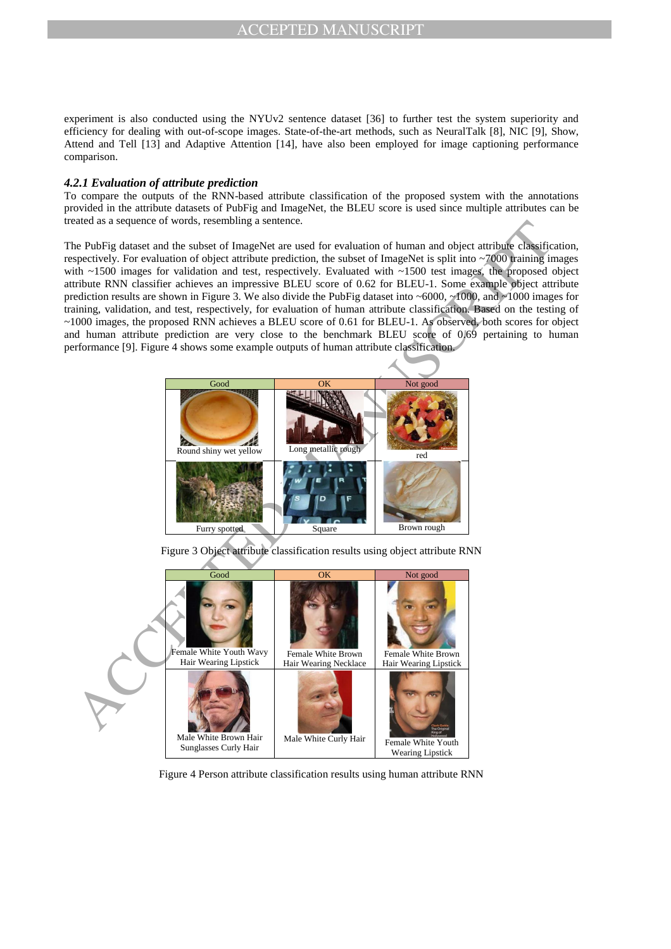experiment is also conducted using the NYUv2 sentence dataset [36] to further test the system superiority and efficiency for dealing with out-of-scope images. State-of-the-art methods, such as NeuralTalk [8], NIC [9], Show, Attend and Tell [13] and Adaptive Attention [14], have also been employed for image captioning performance comparison.

#### *4.2.1 Evaluation of attribute prediction*

To compare the outputs of the RNN-based attribute classification of the proposed system with the annotations provided in the attribute datasets of PubFig and ImageNet, the BLEU score is used since multiple attributes can be treated as a sequence of words, resembling a sentence.

The PubFig dataset and the subset of ImageNet are used for evaluation of human and object attribute classification, respectively. For evaluation of object attribute prediction, the subset of ImageNet is split into ~7000 training images with ~1500 images for validation and test, respectively. Evaluated with ~1500 test images, the proposed object attribute RNN classifier achieves an impressive BLEU score of 0.62 for BLEU-1. Some example object attribute prediction results are shown in Figure 3. We also divide the PubFig dataset into ~6000, ~1000, and ~1000 images for training, validation, and test, respectively, for evaluation of human attribute classification. Based on the testing of ~1000 images, the proposed RNN achieves a BLEU score of 0.61 for BLEU-1. As observed, both scores for object and human attribute prediction are very close to the benchmark BLEU score of 0.69 pertaining to human performance [9]. Figure 4 shows some example outputs of human attribute classification.







Figure 4 Person attribute classification results using human attribute RNN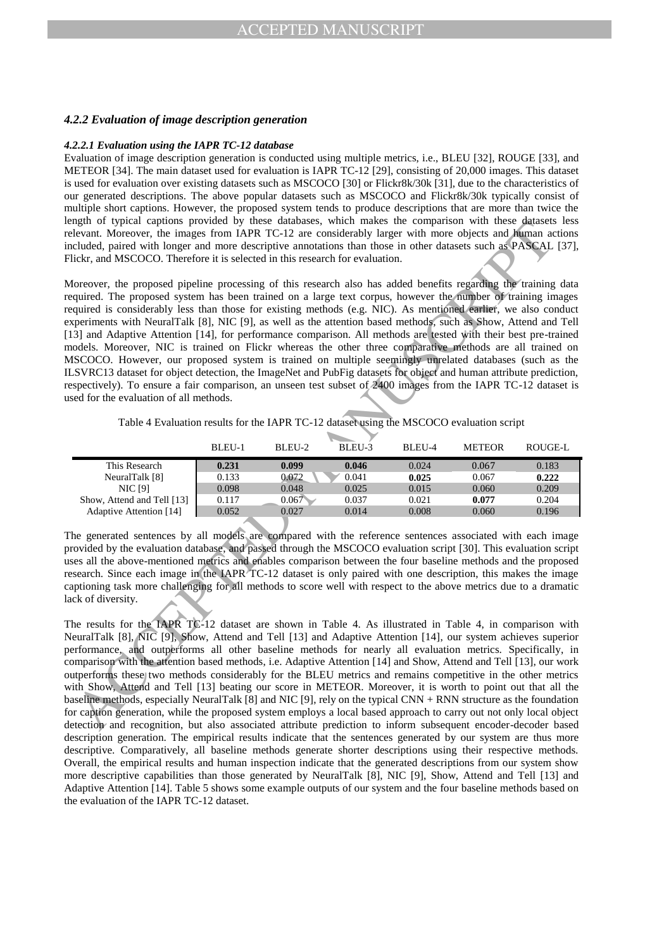#### *4.2.2 Evaluation of image description generation*

#### *4.2.2.1 Evaluation using the IAPR TC-12 database*

Evaluation of image description generation is conducted using multiple metrics, i.e., BLEU [32], ROUGE [33], and METEOR [34]. The main dataset used for evaluation is IAPR TC-12 [29], consisting of 20,000 images. This dataset is used for evaluation over existing datasets such as MSCOCO [30] or Flickr8k/30k [31], due to the characteristics of our generated descriptions. The above popular datasets such as MSCOCO and Flickr8k/30k typically consist of multiple short captions. However, the proposed system tends to produce descriptions that are more than twice the length of typical captions provided by these databases, which makes the comparison with these datasets less relevant. Moreover, the images from IAPR TC-12 are considerably larger with more objects and human actions included, paired with longer and more descriptive annotations than those in other datasets such as PASCAL [37], Flickr, and MSCOCO. Therefore it is selected in this research for evaluation.

mgn or typest entropy these continues the continues the computer of the control of the control of the control of the control of the control of the control of the control of the control of the control of the control of the Moreover, the proposed pipeline processing of this research also has added benefits regarding the training data required. The proposed system has been trained on a large text corpus, however the number of training images required is considerably less than those for existing methods (e.g. NIC). As mentioned earlier, we also conduct experiments with NeuralTalk [8], NIC [9], as well as the attention based methods, such as Show, Attend and Tell [13] and Adaptive Attention [14], for performance comparison. All methods are tested with their best pre-trained models. Moreover, NIC is trained on Flickr whereas the other three comparative methods are all trained on MSCOCO. However, our proposed system is trained on multiple seemingly unrelated databases (such as the ILSVRC13 dataset for object detection, the ImageNet and PubFig datasets for object and human attribute prediction, respectively). To ensure a fair comparison, an unseen test subset of 2400 images from the IAPR TC-12 dataset is used for the evaluation of all methods.

Table 4 Evaluation results for the IAPR TC-12 dataset using the MSCOCO evaluation script

|                            | BLEU-1 | BLEU-2 | BLEU-3 | BLEU-4 | <b>METEOR</b> | ROUGE-L |
|----------------------------|--------|--------|--------|--------|---------------|---------|
| This Research              | 0.231  | 0.099  | 0.046  | 0.024  | 0.067         | 0.183   |
| NeuralTalk [8]             | 0.133  | 0.072  | 0.041  | 0.025  | 0.067         | 0.222   |
| <b>NIC [9]</b>             | 0.098  | 0.048  | 0.025  | 0.015  | 0.060         | 0.209   |
| Show, Attend and Tell [13] | 0.117  | 0.067  | 0.037  | 0.021  | 0.077         | 0.204   |
| Adaptive Attention [14]    | 0.052  | 0.027  | 0.014  | 0.008  | 0.060         | 0.196   |

The generated sentences by all models are compared with the reference sentences associated with each image provided by the evaluation database, and passed through the MSCOCO evaluation script [30]. This evaluation script uses all the above-mentioned metrics and enables comparison between the four baseline methods and the proposed research. Since each image in the IAPR TC-12 dataset is only paired with one description, this makes the image captioning task more challenging for all methods to score well with respect to the above metrics due to a dramatic lack of diversity.

The results for the IAPR TC-12 dataset are shown in Table 4. As illustrated in Table 4, in comparison with NeuralTalk [8], NIC [9], Show, Attend and Tell [13] and Adaptive Attention [14], our system achieves superior performance, and outperforms all other baseline methods for nearly all evaluation metrics. Specifically, in comparison with the attention based methods, i.e. Adaptive Attention [14] and Show, Attend and Tell [13], our work outperforms these two methods considerably for the BLEU metrics and remains competitive in the other metrics with Show, Attend and Tell [13] beating our score in METEOR. Moreover, it is worth to point out that all the baseline methods, especially NeuralTalk [8] and NIC [9], rely on the typical CNN + RNN structure as the foundation for caption generation, while the proposed system employs a local based approach to carry out not only local object detection and recognition, but also associated attribute prediction to inform subsequent encoder-decoder based description generation. The empirical results indicate that the sentences generated by our system are thus more descriptive. Comparatively, all baseline methods generate shorter descriptions using their respective methods. Overall, the empirical results and human inspection indicate that the generated descriptions from our system show more descriptive capabilities than those generated by NeuralTalk [8], NIC [9], Show, Attend and Tell [13] and Adaptive Attention [14]. Table 5 shows some example outputs of our system and the four baseline methods based on the evaluation of the IAPR TC-12 dataset.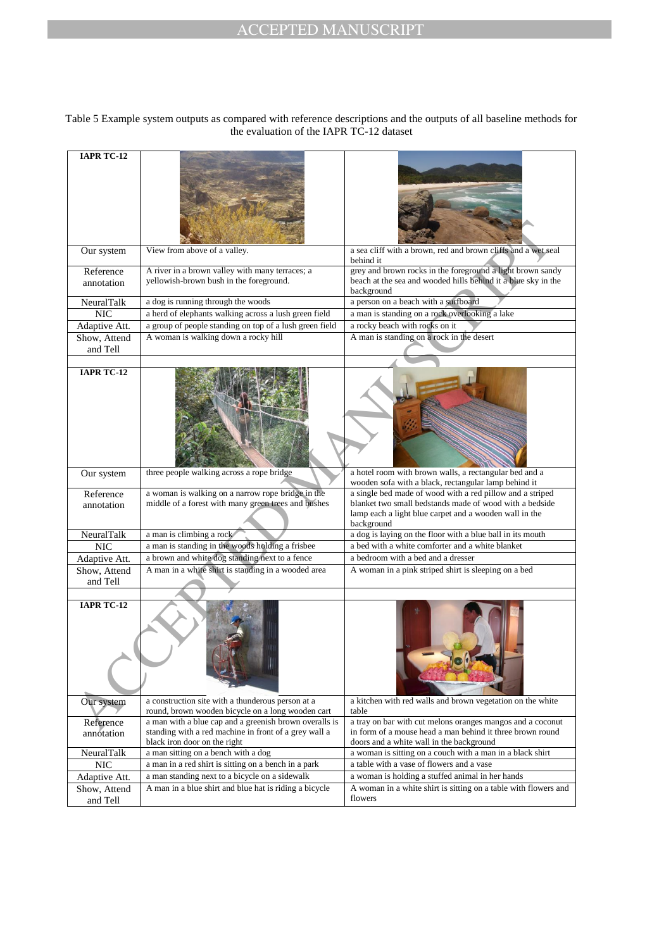#### Table 5 Example system outputs as compared with reference descriptions and the outputs of all baseline methods for the evaluation of the IAPR TC-12 dataset

| <b>IAPR TC-12</b>        |                                                                                                                                                 |                                                                                                                                                                                              |
|--------------------------|-------------------------------------------------------------------------------------------------------------------------------------------------|----------------------------------------------------------------------------------------------------------------------------------------------------------------------------------------------|
|                          |                                                                                                                                                 |                                                                                                                                                                                              |
| Our system               | View from above of a valley.                                                                                                                    | a sea cliff with a brown, red and brown cliffs and a wet seal<br>behind it                                                                                                                   |
| Reference                | A river in a brown valley with many terraces; a                                                                                                 | grey and brown rocks in the foreground a light brown sandy                                                                                                                                   |
| annotation               | yellowish-brown bush in the foreground.                                                                                                         | beach at the sea and wooded hills behind it a blue sky in the<br>background                                                                                                                  |
| NeuralTalk               | a dog is running through the woods                                                                                                              | a person on a beach with a surfboard                                                                                                                                                         |
| <b>NIC</b>               | a herd of elephants walking across a lush green field                                                                                           | a man is standing on a rock overlooking a lake                                                                                                                                               |
| Adaptive Att.            | a group of people standing on top of a lush green field                                                                                         | a rocky beach with rocks on it                                                                                                                                                               |
| Show, Attend<br>and Tell | A woman is walking down a rocky hill                                                                                                            | A man is standing on a rock in the desert                                                                                                                                                    |
|                          |                                                                                                                                                 |                                                                                                                                                                                              |
| <b>IAPR TC-12</b>        |                                                                                                                                                 |                                                                                                                                                                                              |
| Our system               | three people walking across a rope bridge                                                                                                       | a hotel room with brown walls, a rectangular bed and a<br>wooden sofa with a black, rectangular lamp behind it                                                                               |
| Reference<br>annotation  | a woman is walking on a narrow rope bridge in the<br>middle of a forest with many green trees and bushes                                        | a single bed made of wood with a red pillow and a striped<br>blanket two small bedstands made of wood with a bedside<br>lamp each a light blue carpet and a wooden wall in the<br>background |
| NeuralTalk               | a man is climbing a rock                                                                                                                        | a dog is laying on the floor with a blue ball in its mouth                                                                                                                                   |
| <b>NIC</b>               | a man is standing in the woods holding a frisbee                                                                                                | a bed with a white comforter and a white blanket                                                                                                                                             |
| Adaptive Att.            | a brown and white dog standing next to a fence                                                                                                  | a bedroom with a bed and a dresser                                                                                                                                                           |
| Show, Attend<br>and Tell | A man in a white shirt is standing in a wooded area                                                                                             | A woman in a pink striped shirt is sleeping on a bed                                                                                                                                         |
| <b>IAPR TC-12</b>        |                                                                                                                                                 |                                                                                                                                                                                              |
| Our system               | a construction site with a thunderous person at a<br>round, brown wooden bicycle on a long wooden cart                                          | a kitchen with red walls and brown vegetation on the white<br>table                                                                                                                          |
| Reference<br>annotation  | a man with a blue cap and a greenish brown overalls is<br>standing with a red machine in front of a grey wall a<br>black iron door on the right | a tray on bar with cut melons oranges mangos and a coconut<br>in form of a mouse head a man behind it three brown round<br>doors and a white wall in the background                          |
| NeuralTalk               | a man sitting on a bench with a dog                                                                                                             | a woman is sitting on a couch with a man in a black shirt                                                                                                                                    |
| <b>NIC</b>               | a man in a red shirt is sitting on a bench in a park                                                                                            | a table with a vase of flowers and a vase                                                                                                                                                    |
| Adaptive Att.            | a man standing next to a bicycle on a sidewalk                                                                                                  | a woman is holding a stuffed animal in her hands                                                                                                                                             |
| Show, Attend<br>and Tell | A man in a blue shirt and blue hat is riding a bicycle                                                                                          | A woman in a white shirt is sitting on a table with flowers and<br>flowers                                                                                                                   |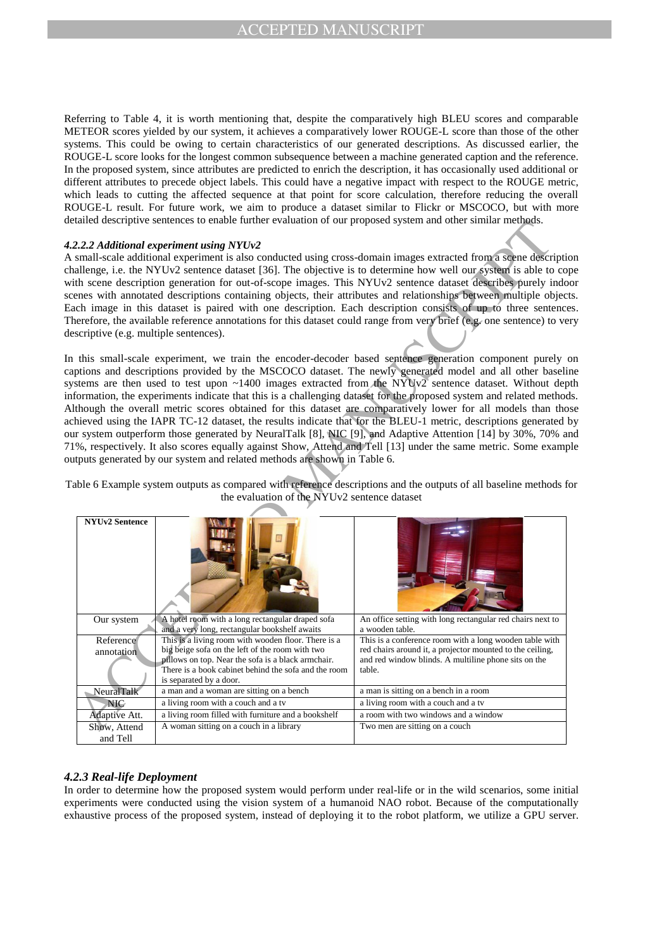Referring to Table 4, it is worth mentioning that, despite the comparatively high BLEU scores and comparable METEOR scores yielded by our system, it achieves a comparatively lower ROUGE-L score than those of the other systems. This could be owing to certain characteristics of our generated descriptions. As discussed earlier, the ROUGE-L score looks for the longest common subsequence between a machine generated caption and the reference. In the proposed system, since attributes are predicted to enrich the description, it has occasionally used additional or different attributes to precede object labels. This could have a negative impact with respect to the ROUGE metric, which leads to cutting the affected sequence at that point for score calculation, therefore reducing the overall ROUGE-L result. For future work, we aim to produce a dataset similar to Flickr or MSCOCO, but with more detailed descriptive sentences to enable further evaluation of our proposed system and other similar methods.

#### *4.2.2.2 Additional experiment using NYUv2*

|                                                                                                                | latica descriptive sentences to enable further evaluation of our proposed system and other similar methods.     |                                                                                                                      |  |  |  |
|----------------------------------------------------------------------------------------------------------------|-----------------------------------------------------------------------------------------------------------------|----------------------------------------------------------------------------------------------------------------------|--|--|--|
|                                                                                                                |                                                                                                                 |                                                                                                                      |  |  |  |
|                                                                                                                | 2.2.2 Additional experiment using NYUv2                                                                         |                                                                                                                      |  |  |  |
| small-scale additional experiment is also conducted using cross-domain images extracted from a scene descripti |                                                                                                                 |                                                                                                                      |  |  |  |
|                                                                                                                | nallenge, i.e. the NYUv2 sentence dataset [36]. The objective is to determine how well our system is able to co |                                                                                                                      |  |  |  |
|                                                                                                                |                                                                                                                 | ith scene description generation for out-of-scope images. This NYUv2 sentence dataset describes purely indo          |  |  |  |
|                                                                                                                |                                                                                                                 | enes with annotated descriptions containing objects, their attributes and relationships between multiple object      |  |  |  |
|                                                                                                                |                                                                                                                 | ach image in this dataset is paired with one description. Each description consists of up to three sentence          |  |  |  |
|                                                                                                                |                                                                                                                 | herefore, the available reference annotations for this dataset could range from very brief (e.g. one sentence) to ve |  |  |  |
| escriptive (e.g. multiple sentences).                                                                          |                                                                                                                 |                                                                                                                      |  |  |  |
|                                                                                                                |                                                                                                                 |                                                                                                                      |  |  |  |
|                                                                                                                |                                                                                                                 | this small-scale experiment, we train the encoder-decoder based sentence generation component purely                 |  |  |  |
|                                                                                                                |                                                                                                                 | ptions and descriptions provided by the MSCOCO dataset. The newly generated model and all other baseli               |  |  |  |
|                                                                                                                |                                                                                                                 |                                                                                                                      |  |  |  |
|                                                                                                                |                                                                                                                 | stems are then used to test upon ~1400 images extracted from the NYUv2 sentence dataset. Without dep                 |  |  |  |
|                                                                                                                |                                                                                                                 | formation, the experiments indicate that this is a challenging dataset for the proposed system and related method    |  |  |  |
|                                                                                                                |                                                                                                                 | Ithough the overall metric scores obtained for this dataset are comparatively lower for all models than the          |  |  |  |
|                                                                                                                |                                                                                                                 | hieved using the IAPR TC-12 dataset, the results indicate that for the BLEU-1 metric, descriptions generated         |  |  |  |
|                                                                                                                |                                                                                                                 | ar system outperform those generated by NeuralTalk [8], NIC [9], and Adaptive Attention [14] by 30%, 70% a           |  |  |  |
|                                                                                                                |                                                                                                                 | 1%, respectively. It also scores equally against Show, Attend and Tell [13] under the same metric. Some example      |  |  |  |
|                                                                                                                | atputs generated by our system and related methods are shown in Table 6.                                        |                                                                                                                      |  |  |  |
|                                                                                                                |                                                                                                                 |                                                                                                                      |  |  |  |
|                                                                                                                |                                                                                                                 | able 6 Example system outputs as compared with reference descriptions and the outputs of all baseline methods f      |  |  |  |
|                                                                                                                | the evaluation of the NYUv2 sentence dataset                                                                    |                                                                                                                      |  |  |  |
|                                                                                                                |                                                                                                                 |                                                                                                                      |  |  |  |
| <b>NYUv2 Sentence</b>                                                                                          |                                                                                                                 |                                                                                                                      |  |  |  |
|                                                                                                                |                                                                                                                 |                                                                                                                      |  |  |  |
|                                                                                                                |                                                                                                                 |                                                                                                                      |  |  |  |
|                                                                                                                |                                                                                                                 |                                                                                                                      |  |  |  |
|                                                                                                                |                                                                                                                 |                                                                                                                      |  |  |  |
|                                                                                                                |                                                                                                                 |                                                                                                                      |  |  |  |
|                                                                                                                |                                                                                                                 |                                                                                                                      |  |  |  |
|                                                                                                                |                                                                                                                 |                                                                                                                      |  |  |  |
|                                                                                                                | A hotel room with a long rectangular draped sofa                                                                | An office setting with long rectangular red chairs next to                                                           |  |  |  |
| Our system                                                                                                     | and a very long, rectangular bookshelf awaits                                                                   | a wooden table.                                                                                                      |  |  |  |
| Reference                                                                                                      | This is a living room with wooden floor. There is a                                                             | This is a conference room with a long wooden table with                                                              |  |  |  |
| annotation                                                                                                     | big beige sofa on the left of the room with two                                                                 | red chairs around it, a projector mounted to the ceiling,                                                            |  |  |  |
|                                                                                                                | pillows on top. Near the sofa is a black armchair.                                                              | and red window blinds. A multiline phone sits on the                                                                 |  |  |  |
|                                                                                                                | There is a book cabinet behind the sofa and the room                                                            | table.                                                                                                               |  |  |  |
| NeuralTalk                                                                                                     | is separated by a door.<br>a man and a woman are sitting on a bench                                             | a man is sitting on a bench in a room                                                                                |  |  |  |
|                                                                                                                | a living room with a couch and a tv                                                                             | a living room with a couch and a tv                                                                                  |  |  |  |
| <b>NIC</b>                                                                                                     | a living room filled with furniture and a bookshelf                                                             | a room with two windows and a window                                                                                 |  |  |  |
| Adaptive Att.<br>Show, Attend                                                                                  | A woman sitting on a couch in a library                                                                         | Two men are sitting on a couch                                                                                       |  |  |  |
|                                                                                                                |                                                                                                                 |                                                                                                                      |  |  |  |
| and Tell                                                                                                       |                                                                                                                 |                                                                                                                      |  |  |  |

## *4.2.3 Real-life Deployment*

In order to determine how the proposed system would perform under real-life or in the wild scenarios, some initial experiments were conducted using the vision system of a humanoid NAO robot. Because of the computationally exhaustive process of the proposed system, instead of deploying it to the robot platform, we utilize a GPU server.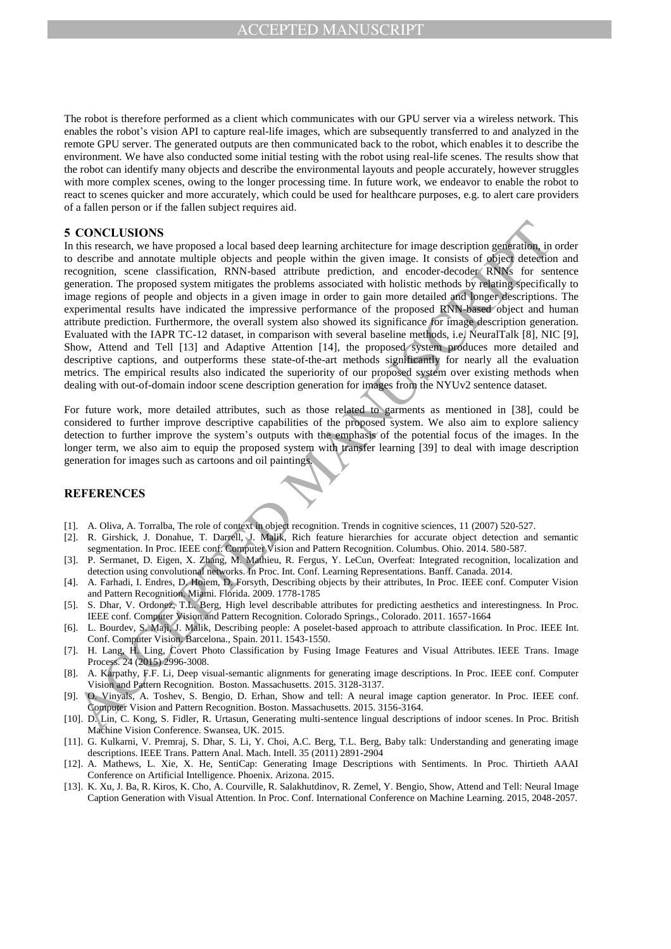The robot is therefore performed as a client which communicates with our GPU server via a wireless network. This enables the robot's vision API to capture real-life images, which are subsequently transferred to and analyzed in the remote GPU server. The generated outputs are then communicated back to the robot, which enables it to describe the environment. We have also conducted some initial testing with the robot using real-life scenes. The results show that the robot can identify many objects and describe the environmental layouts and people accurately, however struggles with more complex scenes, owing to the longer processing time. In future work, we endeavor to enable the robot to react to scenes quicker and more accurately, which could be used for healthcare purposes, e.g. to alert care providers of a fallen person or if the fallen subject requires aid.

#### **5 CONCLUSIONS**

**CONCILUSIONS**<br>
CONCILUSIONS<br>
this recentring resolution that the resume of the standard degrification for the standard in<br>the contribution and monotonical method of the standard contribution and conclusions are<br>considere In this research, we have proposed a local based deep learning architecture for image description generation, in order to describe and annotate multiple objects and people within the given image. It consists of object detection and recognition, scene classification, RNN-based attribute prediction, and encoder-decoder RNNs for sentence generation. The proposed system mitigates the problems associated with holistic methods by relating specifically to image regions of people and objects in a given image in order to gain more detailed and longer descriptions. The experimental results have indicated the impressive performance of the proposed RNN-based object and human attribute prediction. Furthermore, the overall system also showed its significance for image description generation. Evaluated with the IAPR TC-12 dataset, in comparison with several baseline methods, i.e. NeuralTalk [8], NIC [9], Show, Attend and Tell [13] and Adaptive Attention [14], the proposed system produces more detailed and descriptive captions, and outperforms these state-of-the-art methods significantly for nearly all the evaluation metrics. The empirical results also indicated the superiority of our proposed system over existing methods when dealing with out-of-domain indoor scene description generation for images from the NYUv2 sentence dataset.

For future work, more detailed attributes, such as those related to garments as mentioned in [38], could be considered to further improve descriptive capabilities of the proposed system. We also aim to explore saliency detection to further improve the system's outputs with the emphasis of the potential focus of the images. In the longer term, we also aim to equip the proposed system with transfer learning [39] to deal with image description generation for images such as cartoons and oil paintings.

#### **REFERENCES**

- [1]. A. Oliva, A. Torralba, The role of context in object recognition. Trends in cognitive sciences, 11 (2007) 520-527.
- [2]. R. Girshick, J. Donahue, T. Darrell, J. Malik, Rich feature hierarchies for accurate object detection and semantic segmentation. In Proc. IEEE conf. Computer Vision and Pattern Recognition. Columbus. Ohio. 2014. 580-587.
- [3]. P. Sermanet, D. Eigen, X. Zhang, M. Mathieu, R. Fergus, Y. LeCun, Overfeat: Integrated recognition, localization and detection using convolutional networks. In Proc. Int. Conf. Learning Representations. Banff. Canada. 2014.
- [4]. A. Farhadi, I. Endres, D. Hoiem, D. Forsyth, Describing objects by their attributes, In Proc. IEEE conf. Computer Vision and Pattern Recognition. Miami. Florida. 2009. 1778-1785
- [5]. S. Dhar, V. Ordonez, T.L. Berg, High level describable attributes for predicting aesthetics and interestingness. In Proc. IEEE conf. Computer Vision and Pattern Recognition. Colorado Springs., Colorado. 2011. 1657-1664
- [6]. L. Bourdev, S. Maji, J. Malik, Describing people: A poselet-based approach to attribute classification. In Proc. IEEE Int. Conf. Computer Vision. Barcelona., Spain. 2011. 1543-1550.
- [7]. H. Lang, H. Ling, Covert Photo Classification by Fusing Image Features and Visual Attributes. IEEE Trans. Image Process. 24 (2015) 2996-3008.
- [8]. A. Karpathy, F.F. Li, Deep visual-semantic alignments for generating image descriptions. In Proc. IEEE conf. Computer Vision and Pattern Recognition. Boston. Massachusetts. 2015. 3128-3137.
- [9]. O. Vinyals, A. Toshev, S. Bengio, D. Erhan, Show and tell: A neural image caption generator. In Proc. IEEE conf. Computer Vision and Pattern Recognition. Boston. Massachusetts. 2015. 3156-3164.
- [10]. D. Lin, C. Kong, S. Fidler, R. Urtasun, Generating multi-sentence lingual descriptions of indoor scenes. In Proc. British Machine Vision Conference. Swansea, UK. 2015.
- [11]. G. Kulkarni, V. Premraj, S. Dhar, S. Li, Y. Choi, A.C. Berg, T.L. Berg, Baby talk: Understanding and generating image descriptions. IEEE Trans. Pattern Anal. Mach. Intell. 35 (2011) 2891-2904
- [12]. A. Mathews, L. Xie, X. He, SentiCap: Generating Image Descriptions with Sentiments. In Proc. Thirtieth AAAI Conference on Artificial Intelligence. Phoenix. Arizona. 2015.
- [13]. K. Xu, J. Ba, R. Kiros, K. Cho, A. Courville, R. Salakhutdinov, R. Zemel, Y. Bengio, Show, Attend and Tell: Neural Image Caption Generation with Visual Attention. In Proc. Conf. International Conference on Machine Learning. 2015, 2048-2057.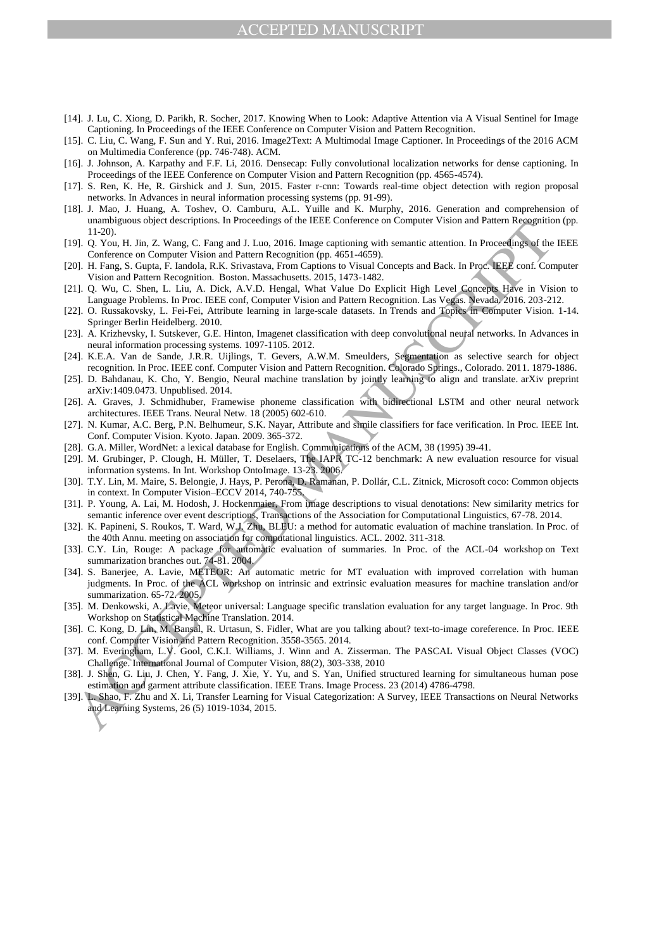## ACCEPTED MANUSCRIPT

- [14]. J. Lu, C. Xiong, D. Parikh, R. Socher, 2017. Knowing When to Look: Adaptive Attention via A Visual Sentinel for Image Captioning. In Proceedings of the IEEE Conference on Computer Vision and Pattern Recognition.
- [15]. C. Liu, C. Wang, F. Sun and Y. Rui, 2016. Image2Text: A Multimodal Image Captioner. In Proceedings of the 2016 ACM on Multimedia Conference (pp. 746-748). ACM.
- [16]. J. Johnson, A. Karpathy and F.F. Li, 2016. Densecap: Fully convolutional localization networks for dense captioning. In Proceedings of the IEEE Conference on Computer Vision and Pattern Recognition (pp. 4565-4574).
- [17]. S. Ren, K. He, R. Girshick and J. Sun, 2015. Faster r-cnn: Towards real-time object detection with region proposal networks. In Advances in neural information processing systems (pp. 91-99).
- [18]. J. Mao, J. Huang, A. Toshev, O. Camburu, A.L. Yuille and K. Murphy, 2016. Generation and comprehension of unambiguous object descriptions. In Proceedings of the IEEE Conference on Computer Vision and Pattern Recognition (pp. 11-20).
- [19]. Q. You, H. Jin, Z. Wang, C. Fang and J. Luo, 2016. Image captioning with semantic attention. In Proceedings of the IEEE Conference on Computer Vision and Pattern Recognition (pp. 4651-4659).
- [20]. H. Fang, S. Gupta, F. Iandola, R.K. Srivastava, From Captions to Visual Concepts and Back. In Proc. IEEE conf. Computer Vision and Pattern Recognition. Boston. Massachusetts. 2015, 1473-1482.
- [21]. Q. Wu, C. Shen, L. Liu, A. Dick, A.V.D. Hengal, What Value Do Explicit High Level Concepts Have in Vision to Language Problems. In Proc. IEEE conf, Computer Vision and Pattern Recognition. Las Vegas. Nevada. 2016. 203-212.
- [22]. O. Russakovsky, L. Fei-Fei, Attribute learning in large-scale datasets. In Trends and Topics in Computer Vision. 1-14. Springer Berlin Heidelberg. 2010.
- [23]. A. Krizhevsky, I. Sutskever, G.E. Hinton, Imagenet classification with deep convolutional neural networks. In Advances in neural information processing systems. 1097-1105. 2012.
- [24]. K.E.A. Van de Sande, J.R.R. Uijlings, T. Gevers, A.W.M. Smeulders, Segmentation as selective search for object recognition. In Proc. IEEE conf. Computer Vision and Pattern Recognition. Colorado Springs., Colorado. 2011. 1879-1886.
- [25]. D. Bahdanau, K. Cho, Y. Bengio, Neural machine translation by jointly learning to align and translate. arXiv preprint arXiv:1409.0473. Unpublised. 2014.
- [26]. A. Graves, J. Schmidhuber, Framewise phoneme classification with bidirectional LSTM and other neural network architectures. IEEE Trans. Neural Netw. 18 (2005) 602-610.
- [27]. N. Kumar, A.C. Berg, P.N. Belhumeur, S.K. Nayar, Attribute and simile classifiers for face verification. In Proc. IEEE Int. Conf. Computer Vision. Kyoto. Japan. 2009. 365-372.
- [28]. G.A. Miller, WordNet: a lexical database for English. Communications of the ACM, 38 (1995) 39-41.
- [29]. M. Grubinger, P. Clough, H. Müller, T. Deselaers, The IAPR TC-12 benchmark: A new evaluation resource for visual information systems. In Int. Workshop OntoImage. 13-23. 2006.
- [30]. T.Y. Lin, M. Maire, S. Belongie, J. Hays, P. Perona, D. Ramanan, P. Dollár, C.L. Zitnick, Microsoft coco: Common objects in context. In Computer Vision–ECCV 2014, 740-755.
- [31]. P. Young, A. Lai, M. Hodosh, J. Hockenmaier, From image descriptions to visual denotations: New similarity metrics for semantic inference over event descriptions, Transactions of the Association for Computational Linguistics, 67-78. 2014.
- [32]. K. Papineni, S. Roukos, T. Ward, W.J. Zhu, BLEU: a method for automatic evaluation of machine translation. In Proc. of the 40th Annu. meeting on association for computational linguistics. ACL. 2002. 311-318.
- [33]. C.Y. Lin, Rouge: A package for automatic evaluation of summaries. In Proc. of the ACL-04 workshop on Text summarization branches out. 74-81. 2004.
- ENTERT AND THE CONFIDENCE CONTINUOUS CONFIDENT WAS CONFIDENTED AND THE CONFIDENTIAL THE RESULTED AND THE CONFIDENT CONFIDENT CONFIDENT (CONFIDENT CONFIDENT CONFIDENT CONFIDENT (CONFIDENT CONFIDENT CONFIDENT CONFIDENT CONF [34]. S. Banerjee, A. Lavie, METEOR: An automatic metric for MT evaluation with improved correlation with human judgments. In Proc. of the ACL workshop on intrinsic and extrinsic evaluation measures for machine translation and/or summarization. 65-72. 2005.
- [35]. M. Denkowski, A. Lavie, Meteor universal: Language specific translation evaluation for any target language. In Proc. 9th Workshop on Statistical Machine Translation. 2014.
- [36]. C. Kong, D. Lin, M. Bansal, R. Urtasun, S. Fidler, What are you talking about? text-to-image coreference. In Proc. IEEE conf. Computer Vision and Pattern Recognition. 3558-3565. 2014.
- [37]. M. Everingham, L.V. Gool, C.K.I. Williams, J. Winn and A. Zisserman. The PASCAL Visual Object Classes (VOC) Challenge. International Journal of Computer Vision, 88(2), 303-338, 2010
- [38]. J. Shen, G. Liu, J. Chen, Y. Fang, J. Xie, Y. Yu, and S. Yan, Unified structured learning for simultaneous human pose estimation and garment attribute classification. IEEE Trans. Image Process. 23 (2014) 4786-4798.
- [39]. L. Shao, F. Zhu and X. Li, Transfer Learning for Visual Categorization: A Survey, IEEE Transactions on Neural Networks and Learning Systems, 26 (5) 1019-1034, 2015.